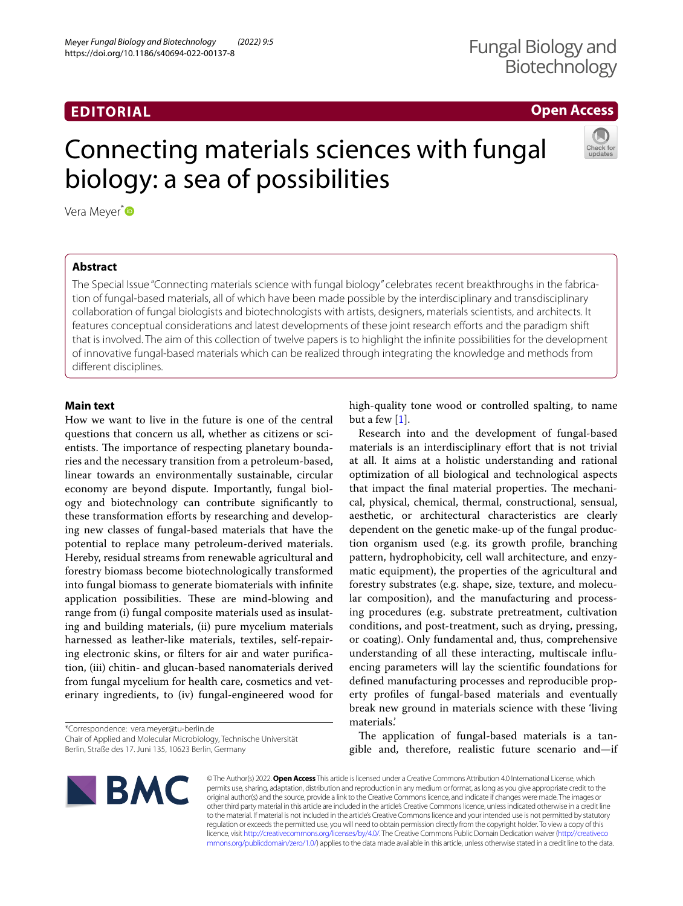## **EDITORIAL**

# Fungal Biology and **Biotechnology**

# **Open Access**

# Connecting materials sciences with fungal biology: a sea of possibilities



Vera Meyer<sup>[\\*](http://orcid.org/0000-0002-2298-2258)</sup>

## **Abstract**

The Special Issue "Connecting materials science with fungal biology" celebrates recent breakthroughs in the fabrication of fungal-based materials, all of which have been made possible by the interdisciplinary and transdisciplinary collaboration of fungal biologists and biotechnologists with artists, designers, materials scientists, and architects. It features conceptual considerations and latest developments of these joint research eforts and the paradigm shift that is involved. The aim of this collection of twelve papers is to highlight the infnite possibilities for the development of innovative fungal-based materials which can be realized through integrating the knowledge and methods from diferent disciplines.

### **Main text**

How we want to live in the future is one of the central questions that concern us all, whether as citizens or scientists. The importance of respecting planetary boundaries and the necessary transition from a petroleum-based, linear towards an environmentally sustainable, circular economy are beyond dispute. Importantly, fungal biology and biotechnology can contribute signifcantly to these transformation efforts by researching and developing new classes of fungal-based materials that have the potential to replace many petroleum-derived materials. Hereby, residual streams from renewable agricultural and forestry biomass become biotechnologically transformed into fungal biomass to generate biomaterials with infnite application possibilities. These are mind-blowing and range from (i) fungal composite materials used as insulating and building materials, (ii) pure mycelium materials harnessed as leather-like materials, textiles, self-repairing electronic skins, or flters for air and water purifcation, (iii) chitin- and glucan-based nanomaterials derived from fungal mycelium for health care, cosmetics and veterinary ingredients, to (iv) fungal-engineered wood for

\*Correspondence: vera.meyer@tu-berlin.de Chair of Applied and Molecular Microbiology, Technische Universität Berlin, Straße des 17. Juni 135, 10623 Berlin, Germany

high-quality tone wood or controlled spalting, to name but a few  $[1]$  $[1]$ .

Research into and the development of fungal-based materials is an interdisciplinary efort that is not trivial at all. It aims at a holistic understanding and rational optimization of all biological and technological aspects that impact the final material properties. The mechanical, physical, chemical, thermal, constructional, sensual, aesthetic, or architectural characteristics are clearly dependent on the genetic make-up of the fungal production organism used (e.g. its growth profle, branching pattern, hydrophobicity, cell wall architecture, and enzymatic equipment), the properties of the agricultural and forestry substrates (e.g. shape, size, texture, and molecular composition), and the manufacturing and processing procedures (e.g. substrate pretreatment, cultivation conditions, and post-treatment, such as drying, pressing, or coating). Only fundamental and, thus, comprehensive understanding of all these interacting, multiscale infuencing parameters will lay the scientifc foundations for defned manufacturing processes and reproducible property profles of fungal-based materials and eventually break new ground in materials science with these 'living materials.'

The application of fungal-based materials is a tangible and, therefore, realistic future scenario and—if



© The Author(s) 2022. **Open Access** This article is licensed under a Creative Commons Attribution 4.0 International License, which permits use, sharing, adaptation, distribution and reproduction in any medium or format, as long as you give appropriate credit to the original author(s) and the source, provide a link to the Creative Commons licence, and indicate if changes were made. The images or other third party material in this article are included in the article's Creative Commons licence, unless indicated otherwise in a credit line to the material. If material is not included in the article's Creative Commons licence and your intended use is not permitted by statutory regulation or exceeds the permitted use, you will need to obtain permission directly from the copyright holder. To view a copy of this licence, visit [http://creativecommons.org/licenses/by/4.0/.](http://creativecommons.org/licenses/by/4.0/) The Creative Commons Public Domain Dedication waiver ([http://creativeco](http://creativecommons.org/publicdomain/zero/1.0/) [mmons.org/publicdomain/zero/1.0/](http://creativecommons.org/publicdomain/zero/1.0/)) applies to the data made available in this article, unless otherwise stated in a credit line to the data.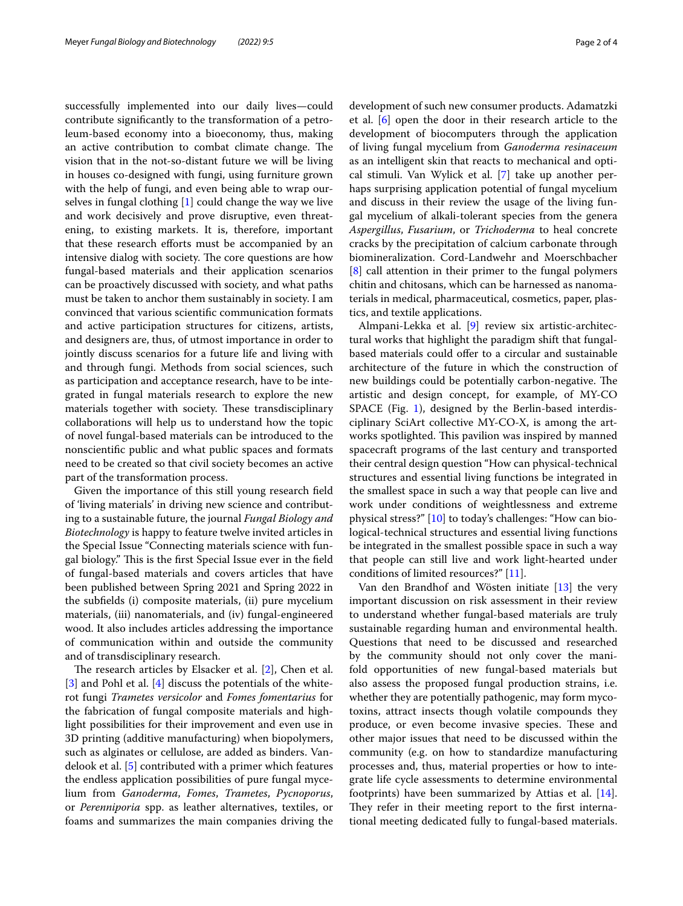successfully implemented into our daily lives—could contribute signifcantly to the transformation of a petroleum-based economy into a bioeconomy, thus, making an active contribution to combat climate change. The vision that in the not-so-distant future we will be living in houses co-designed with fungi, using furniture grown with the help of fungi, and even being able to wrap ourselves in fungal clothing [\[1\]](#page-3-0) could change the way we live and work decisively and prove disruptive, even threatening, to existing markets. It is, therefore, important that these research efforts must be accompanied by an intensive dialog with society. The core questions are how fungal-based materials and their application scenarios can be proactively discussed with society, and what paths must be taken to anchor them sustainably in society. I am convinced that various scientifc communication formats and active participation structures for citizens, artists, and designers are, thus, of utmost importance in order to jointly discuss scenarios for a future life and living with and through fungi. Methods from social sciences, such as participation and acceptance research, have to be integrated in fungal materials research to explore the new materials together with society. These transdisciplinary collaborations will help us to understand how the topic of novel fungal-based materials can be introduced to the nonscientifc public and what public spaces and formats need to be created so that civil society becomes an active part of the transformation process.

Given the importance of this still young research feld of 'living materials' in driving new science and contributing to a sustainable future, the journal *Fungal Biology and Biotechnology* is happy to feature twelve invited articles in the Special Issue "Connecting materials science with fungal biology." This is the first Special Issue ever in the field of fungal-based materials and covers articles that have been published between Spring 2021 and Spring 2022 in the subfelds (i) composite materials, (ii) pure mycelium materials, (iii) nanomaterials, and (iv) fungal-engineered wood. It also includes articles addressing the importance of communication within and outside the community and of transdisciplinary research.

The research articles by Elsacker et al.  $[2]$  $[2]$ , Chen et al. [[3\]](#page-3-2) and Pohl et al. [[4\]](#page-3-3) discuss the potentials of the whiterot fungi *Trametes versicolor* and *Fomes fomentarius* for the fabrication of fungal composite materials and highlight possibilities for their improvement and even use in 3D printing (additive manufacturing) when biopolymers, such as alginates or cellulose, are added as binders. Vandelook et al. [[5\]](#page-3-4) contributed with a primer which features the endless application possibilities of pure fungal mycelium from *Ganoderma*, *Fomes*, *Trametes*, *Pycnoporus*, or *Perenniporia* spp. as leather alternatives, textiles, or foams and summarizes the main companies driving the development of such new consumer products. Adamatzki et al. [[6\]](#page-3-5) open the door in their research article to the development of biocomputers through the application of living fungal mycelium from *Ganoderma resinaceum* as an intelligent skin that reacts to mechanical and optical stimuli. Van Wylick et al. [\[7\]](#page-3-6) take up another perhaps surprising application potential of fungal mycelium and discuss in their review the usage of the living fungal mycelium of alkali-tolerant species from the genera *Aspergillus*, *Fusarium*, or *Trichoderma* to heal concrete cracks by the precipitation of calcium carbonate through biomineralization. Cord-Landwehr and Moerschbacher [[8\]](#page-3-7) call attention in their primer to the fungal polymers chitin and chitosans, which can be harnessed as nanomaterials in medical, pharmaceutical, cosmetics, paper, plastics, and textile applications.

Almpani-Lekka et al. [\[9](#page-3-8)] review six artistic-architectural works that highlight the paradigm shift that fungalbased materials could offer to a circular and sustainable architecture of the future in which the construction of new buildings could be potentially carbon-negative. The artistic and design concept, for example, of MY-CO SPACE (Fig. [1\)](#page-2-0), designed by the Berlin-based interdisciplinary SciArt collective MY-CO-X, is among the artworks spotlighted. This pavilion was inspired by manned spacecraft programs of the last century and transported their central design question "How can physical-technical structures and essential living functions be integrated in the smallest space in such a way that people can live and work under conditions of weightlessness and extreme physical stress?" [\[10\]](#page-3-9) to today's challenges: "How can biological-technical structures and essential living functions be integrated in the smallest possible space in such a way that people can still live and work light-hearted under conditions of limited resources?" [[11\]](#page-3-10).

Van den Brandhof and Wösten initiate [\[13](#page-3-11)] the very important discussion on risk assessment in their review to understand whether fungal-based materials are truly sustainable regarding human and environmental health. Questions that need to be discussed and researched by the community should not only cover the manifold opportunities of new fungal-based materials but also assess the proposed fungal production strains, i.e. whether they are potentially pathogenic, may form mycotoxins, attract insects though volatile compounds they produce, or even become invasive species. These and other major issues that need to be discussed within the community (e.g. on how to standardize manufacturing processes and, thus, material properties or how to integrate life cycle assessments to determine environmental footprints) have been summarized by Attias et al. [\[14](#page-3-12)]. They refer in their meeting report to the first international meeting dedicated fully to fungal-based materials.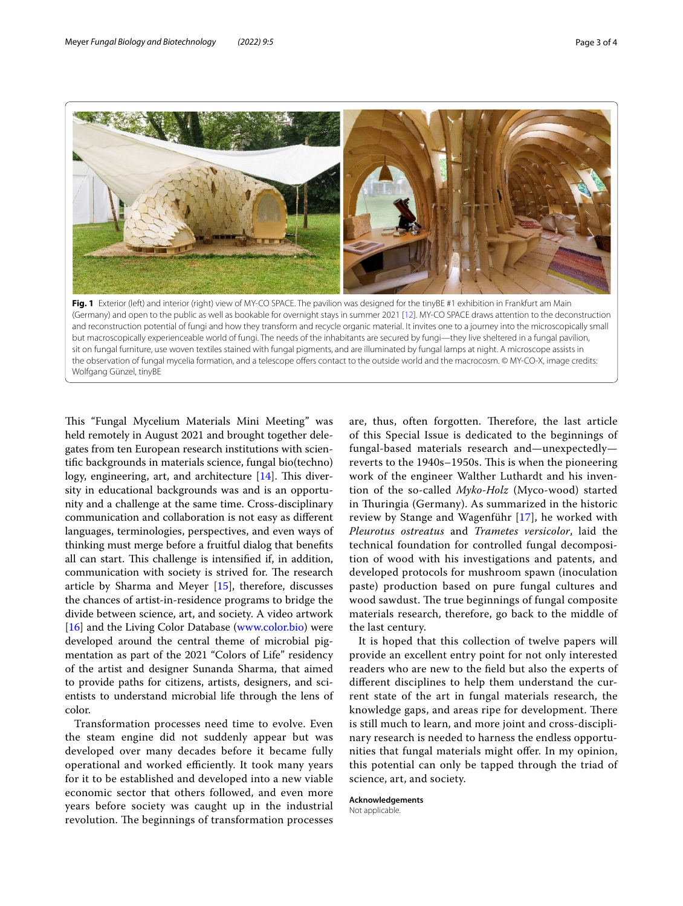

<span id="page-2-0"></span>and reconstruction potential of fungi and how they transform and recycle organic material. It invites one to a journey into the microscopically small but macroscopically experienceable world of fungi. The needs of the inhabitants are secured by fungi—they live sheltered in a fungal pavilion, sit on fungal furniture, use woven textiles stained with fungal pigments, and are illuminated by fungal lamps at night. A microscope assists in the observation of fungal mycelia formation, and a telescope offers contact to the outside world and the macrocosm. © MY-CO-X, image credits: Wolfgang Günzel, tinyBE

This "Fungal Mycelium Materials Mini Meeting" was held remotely in August 2021 and brought together delegates from ten European research institutions with scientifc backgrounds in materials science, fungal bio(techno) logy, engineering, art, and architecture  $[14]$  $[14]$  $[14]$ . This diversity in educational backgrounds was and is an opportunity and a challenge at the same time. Cross-disciplinary communication and collaboration is not easy as diferent languages, terminologies, perspectives, and even ways of thinking must merge before a fruitful dialog that benefts all can start. This challenge is intensified if, in addition, communication with society is strived for. The research article by Sharma and Meyer [\[15](#page-3-13)], therefore, discusses the chances of artist-in-residence programs to bridge the divide between science, art, and society. A video artwork [[16\]](#page-3-14) and the Living Color Database ([www.color.bio](http://www.color.bio)) were developed around the central theme of microbial pigmentation as part of the 2021 "Colors of Life" residency of the artist and designer Sunanda Sharma, that aimed to provide paths for citizens, artists, designers, and scientists to understand microbial life through the lens of color.

Transformation processes need time to evolve. Even the steam engine did not suddenly appear but was developed over many decades before it became fully operational and worked efficiently. It took many years for it to be established and developed into a new viable economic sector that others followed, and even more years before society was caught up in the industrial revolution. The beginnings of transformation processes

are, thus, often forgotten. Therefore, the last article of this Special Issue is dedicated to the beginnings of fungal-based materials research and—unexpectedly reverts to the 1940s-1950s. This is when the pioneering work of the engineer Walther Luthardt and his invention of the so-called *Myko-Holz* (Myco-wood) started in Thuringia (Germany). As summarized in the historic review by Stange and Wagenführ [[17](#page-3-15)], he worked with *Pleurotus ostreatus* and *Trametes versicolor*, laid the technical foundation for controlled fungal decomposition of wood with his investigations and patents, and developed protocols for mushroom spawn (inoculation paste) production based on pure fungal cultures and wood sawdust. The true beginnings of fungal composite materials research, therefore, go back to the middle of the last century.

It is hoped that this collection of twelve papers will provide an excellent entry point for not only interested readers who are new to the feld but also the experts of diferent disciplines to help them understand the current state of the art in fungal materials research, the knowledge gaps, and areas ripe for development. There is still much to learn, and more joint and cross-disciplinary research is needed to harness the endless opportunities that fungal materials might offer. In my opinion, this potential can only be tapped through the triad of science, art, and society.

## **Acknowledgements**

Not applicable.